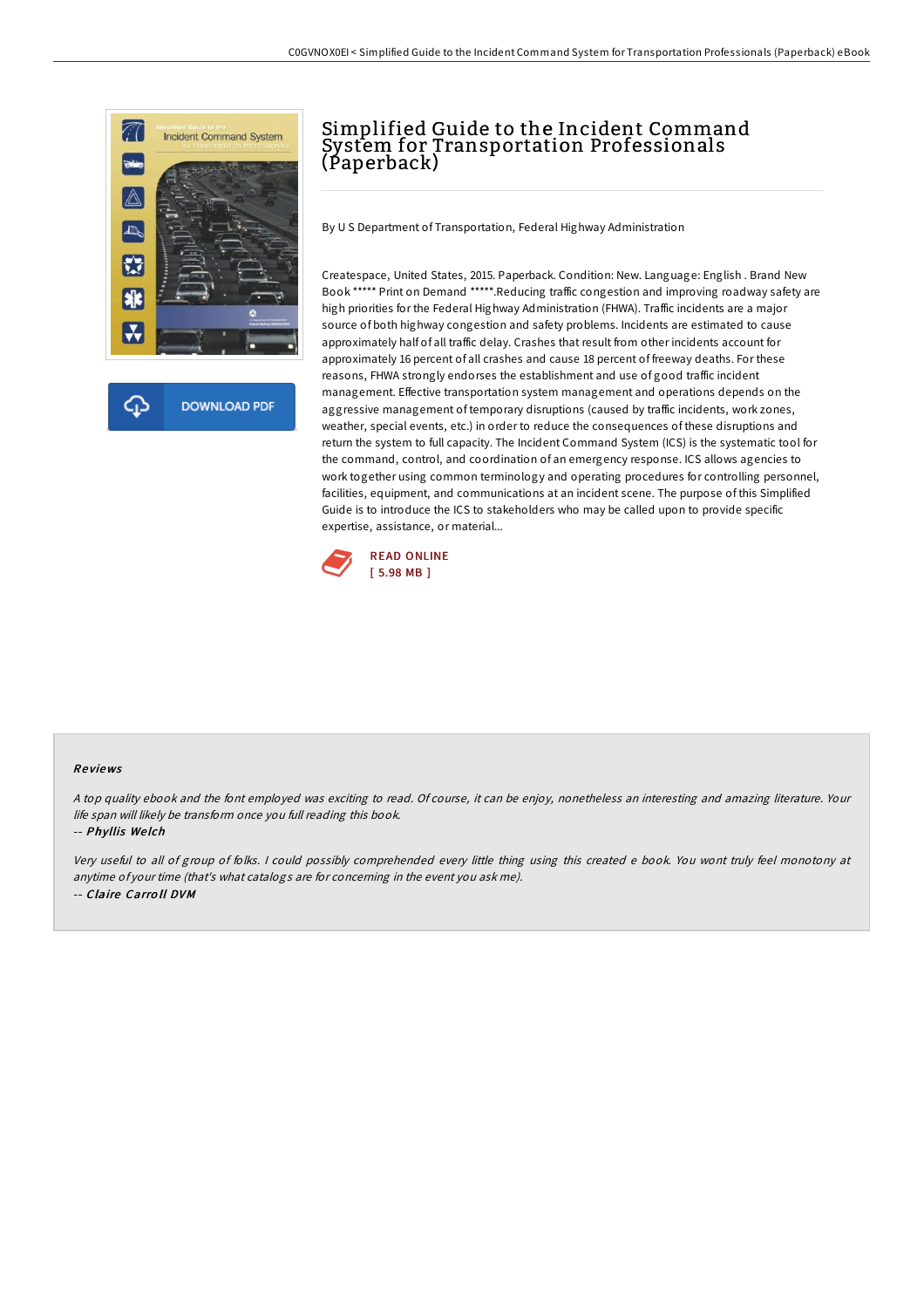

# Simplified Guide to the Incident Command System for Transportation Professionals (Paperback)

By U S Department of Transportation, Federal Highway Administration

Createspace, United States, 2015. Paperback. Condition: New. Language: English . Brand New Book \*\*\*\*\* Print on Demand \*\*\*\*\*.Reducing traffic congestion and improving roadway safety are high priorities for the Federal Highway Administration (FHWA). Traffic incidents are a major source of both highway congestion and safety problems. Incidents are estimated to cause approximately half of all traffic delay. Crashes that result from other incidents account for approximately 16 percent of all crashes and cause 18 percent of freeway deaths. For these reasons, FHWA strongly endorses the establishment and use of good traffic incident management. Effective transportation system management and operations depends on the aggressive management of temporary disruptions (caused by traffic incidents, work zones, weather, special events, etc.) in order to reduce the consequences of these disruptions and return the system to full capacity. The Incident Command System (ICS) is the systematic tool for the command, control, and coordination of an emergency response. ICS allows agencies to work together using common terminology and operating procedures for controlling personnel, facilities, equipment, and communications at an incident scene. The purpose of this Simplified Guide is to introduce the ICS to stakeholders who may be called upon to provide specific expertise, assistance, or material...



#### Re views

<sup>A</sup> top quality ebook and the font employed was exciting to read. Of course, it can be enjoy, nonetheless an interesting and amazing literature. Your life span will likely be transform once you full reading this book.

-- Phyllis We lch

Very useful to all of group of folks. <sup>I</sup> could possibly comprehended every little thing using this created <sup>e</sup> book. You wont truly feel monotony at anytime of your time (that's what catalogs are for concerning in the event you ask me). -- Claire Carro ll DVM